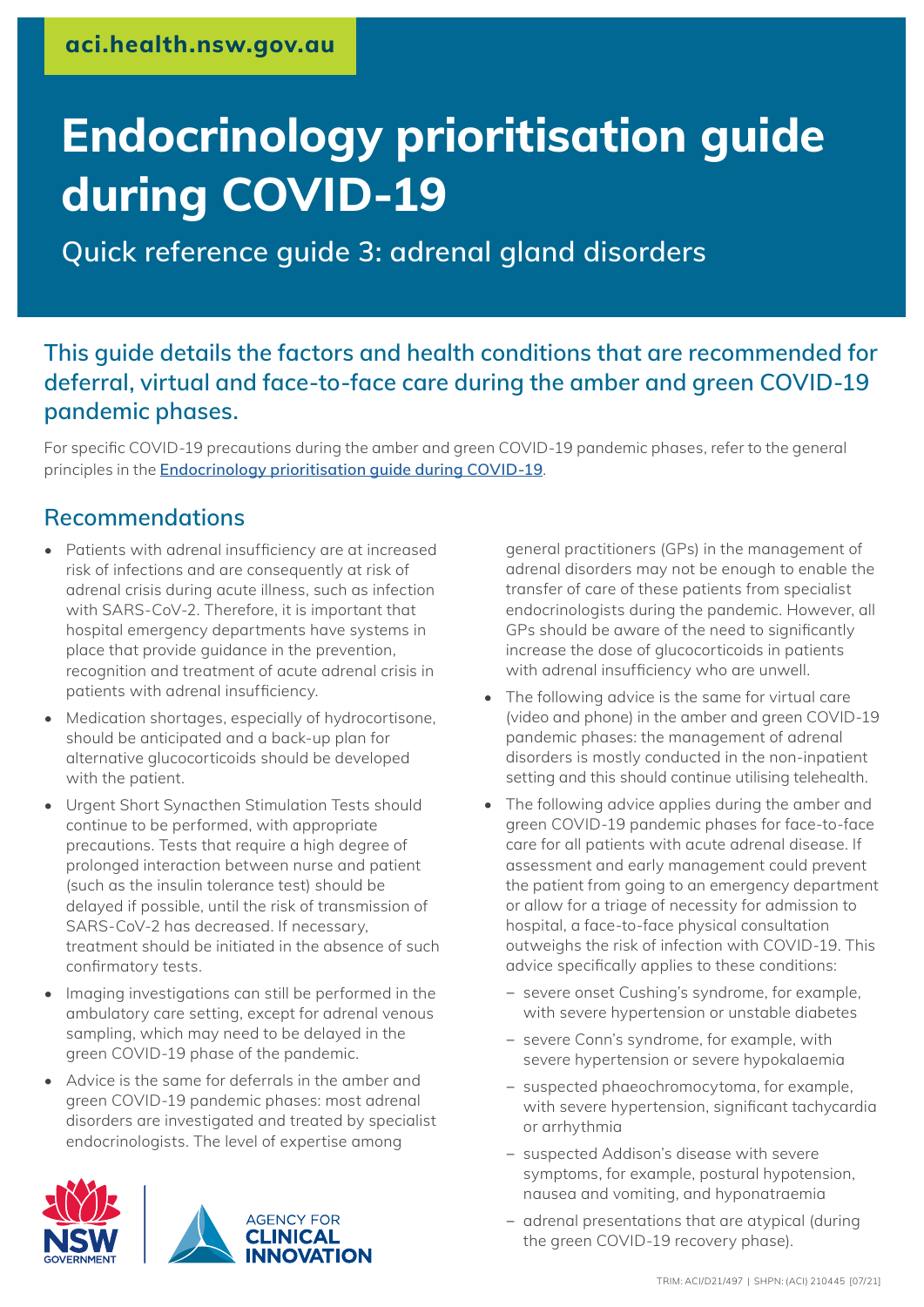# **Endocrinology prioritisation guide during COVID-19**

**Quick reference guide 3: adrenal gland disorders**

## **This guide details the factors and health conditions that are recommended for deferral, virtual and face-to-face care during the amber and green COVID-19 pandemic phases.**

For specific COVID-19 precautions during the amber and green COVID-19 pandemic phases, refer to the general principles in the **[Endocrinology prioritisation guide during COVID-19](https://aci.health.nsw.gov.au/__data/assets/pdf_file/0009/662436/Endocrinology-prioritisation-guide-during-COVID-19.pdf)**.

### **Recommendations**

- Patients with adrenal insufficiency are at increased risk of infections and are consequently at risk of adrenal crisis during acute illness, such as infection with SARS-CoV-2. Therefore, it is important that hospital emergency departments have systems in place that provide guidance in the prevention, recognition and treatment of acute adrenal crisis in patients with adrenal insufficiency.
- Medication shortages, especially of hydrocortisone, should be anticipated and a back-up plan for alternative glucocorticoids should be developed with the patient.
- Urgent Short Synacthen Stimulation Tests should continue to be performed, with appropriate precautions. Tests that require a high degree of prolonged interaction between nurse and patient (such as the insulin tolerance test) should be delayed if possible, until the risk of transmission of SARS-CoV-2 has decreased. If necessary, treatment should be initiated in the absence of such confirmatory tests.
- Imaging investigations can still be performed in the ambulatory care setting, except for adrenal venous sampling, which may need to be delayed in the green COVID-19 phase of the pandemic.
- Advice is the same for deferrals in the amber and green COVID-19 pandemic phases: most adrenal disorders are investigated and treated by specialist endocrinologists. The level of expertise among



general practitioners (GPs) in the management of adrenal disorders may not be enough to enable the transfer of care of these patients from specialist endocrinologists during the pandemic. However, all GPs should be aware of the need to significantly increase the dose of glucocorticoids in patients with adrenal insufficiency who are unwell.

- The following advice is the same for virtual care (video and phone) in the amber and green COVID-19 pandemic phases: the management of adrenal disorders is mostly conducted in the non-inpatient setting and this should continue utilising telehealth.
- The following advice applies during the amber and green COVID-19 pandemic phases for face-to-face care for all patients with acute adrenal disease. If assessment and early management could prevent the patient from going to an emergency department or allow for a triage of necessity for admission to hospital, a face-to-face physical consultation outweighs the risk of infection with COVID-19. This advice specifically applies to these conditions:
	- − severe onset Cushing's syndrome, for example, with severe hypertension or unstable diabetes
	- − severe Conn's syndrome, for example, with severe hypertension or severe hypokalaemia
	- − suspected phaeochromocytoma, for example, with severe hypertension, significant tachycardia or arrhythmia
	- − suspected Addison's disease with severe symptoms, for example, postural hypotension, nausea and vomiting, and hyponatraemia
	- − adrenal presentations that are atypical (during the green COVID-19 recovery phase).